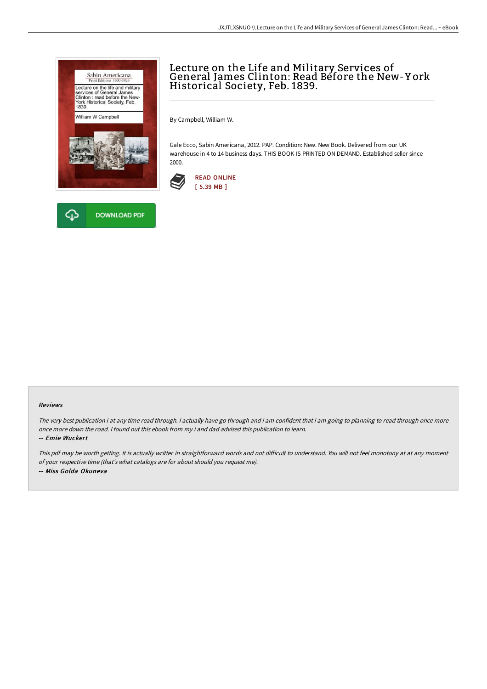



# Lecture on the Life and Military Services of General James Clinton: Read Before the New-Y ork Historical Society, Feb. 1839.

By Campbell, William W.

Gale Ecco, Sabin Americana, 2012. PAP. Condition: New. New Book. Delivered from our UK warehouse in 4 to 14 business days. THIS BOOK IS PRINTED ON DEMAND. Established seller since 2000.



#### Reviews

The very best publication i at any time read through. <sup>I</sup> actually have go through and i am confident that i am going to planning to read through once more once more down the road. I found out this ebook from my i and dad advised this publication to learn.

-- Emie Wuckert

This pdf may be worth getting. It is actually writter in straightforward words and not difficult to understand. You will not feel monotony at at any moment of your respective time (that's what catalogs are for about should you request me). -- Miss Golda Okuneva